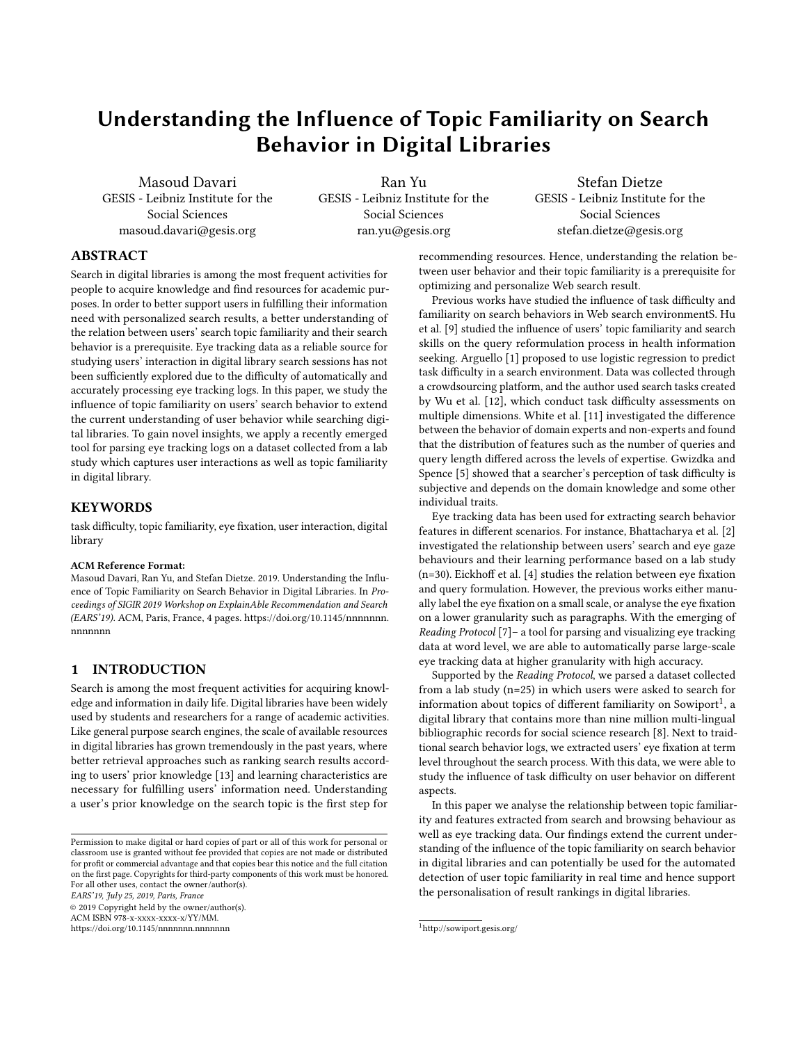# Understanding the Influence of Topic Familiarity on Search Behavior in Digital Libraries

Masoud Davari GESIS - Leibniz Institute for the Social Sciences masoud.davari@gesis.org

Ran Yu GESIS - Leibniz Institute for the Social Sciences ran.yu@gesis.org

Stefan Dietze GESIS - Leibniz Institute for the Social Sciences stefan.dietze@gesis.org

## ABSTRACT

Search in digital libraries is among the most frequent activities for people to acquire knowledge and find resources for academic purposes. In order to better support users in fulfilling their information need with personalized search results, a better understanding of the relation between users' search topic familiarity and their search behavior is a prerequisite. Eye tracking data as a reliable source for studying users' interaction in digital library search sessions has not been sufficiently explored due to the difficulty of automatically and accurately processing eye tracking logs. In this paper, we study the influence of topic familiarity on users' search behavior to extend the current understanding of user behavior while searching digital libraries. To gain novel insights, we apply a recently emerged tool for parsing eye tracking logs on a dataset collected from a lab study which captures user interactions as well as topic familiarity in digital library.

## **KEYWORDS**

task difficulty, topic familiarity, eye fixation, user interaction, digital library

#### ACM Reference Format:

Masoud Davari, Ran Yu, and Stefan Dietze. 2019. Understanding the Influence of Topic Familiarity on Search Behavior in Digital Libraries. In Proceedings of SIGIR 2019 Workshop on ExplainAble Recommendation and Search (EARS'19). ACM, Paris, France, [4](#page-3-0) pages. [https://doi.org/10.1145/nnnnnnn.](https://doi.org/10.1145/nnnnnnn.nnnnnnn) [nnnnnnn](https://doi.org/10.1145/nnnnnnn.nnnnnnn)

#### 1 INTRODUCTION

Search is among the most frequent activities for acquiring knowledge and information in daily life. Digital libraries have been widely used by students and researchers for a range of academic activities. Like general purpose search engines, the scale of available resources in digital libraries has grown tremendously in the past years, where better retrieval approaches such as ranking search results according to users' prior knowledge [\[13\]](#page-3-1) and learning characteristics are necessary for fulfilling users' information need. Understanding a user's prior knowledge on the search topic is the first step for

EARS'19, July 25, 2019, Paris, France

© 2019 Copyright held by the owner/author(s). ACM ISBN 978-x-xxxx-xxxx-x/YY/MM.

<https://doi.org/10.1145/nnnnnnn.nnnnnnn>

recommending resources. Hence, understanding the relation between user behavior and their topic familiarity is a prerequisite for optimizing and personalize Web search result.

Previous works have studied the influence of task difficulty and familiarity on search behaviors in Web search environmentS. Hu et al. [\[9\]](#page-3-2) studied the influence of users' topic familiarity and search skills on the query reformulation process in health information seeking. Arguello [\[1\]](#page-3-3) proposed to use logistic regression to predict task difficulty in a search environment. Data was collected through a crowdsourcing platform, and the author used search tasks created by Wu et al. [\[12\]](#page-3-4), which conduct task difficulty assessments on multiple dimensions. White et al. [\[11\]](#page-3-5) investigated the difference between the behavior of domain experts and non-experts and found that the distribution of features such as the number of queries and query length differed across the levels of expertise. Gwizdka and Spence [\[5\]](#page-3-6) showed that a searcher's perception of task difficulty is subjective and depends on the domain knowledge and some other individual traits.

Eye tracking data has been used for extracting search behavior features in different scenarios. For instance, Bhattacharya et al. [\[2\]](#page-3-7) investigated the relationship between users' search and eye gaze behaviours and their learning performance based on a lab study (n=30). Eickhoff et al. [\[4\]](#page-3-8) studies the relation between eye fixation and query formulation. However, the previous works either manually label the eye fixation on a small scale, or analyse the eye fixation on a lower granularity such as paragraphs. With the emerging of Reading Protocol [\[7\]](#page-3-9)– a tool for parsing and visualizing eye tracking data at word level, we are able to automatically parse large-scale eye tracking data at higher granularity with high accuracy.

Supported by the Reading Protocol, we parsed a dataset collected from a lab study (n=25) in which users were asked to search for information about topics of different familiarity on Sowiport $^1$  $^1$ , a digital library that contains more than nine million multi-lingual bibliographic records for social science research [\[8\]](#page-3-10). Next to traidtional search behavior logs, we extracted users' eye fixation at term level throughout the search process. With this data, we were able to study the influence of task difficulty on user behavior on different aspects.

In this paper we analyse the relationship between topic familiarity and features extracted from search and browsing behaviour as well as eye tracking data. Our findings extend the current understanding of the influence of the topic familiarity on search behavior in digital libraries and can potentially be used for the automated detection of user topic familiarity in real time and hence support the personalisation of result rankings in digital libraries.

Permission to make digital or hard copies of part or all of this work for personal or classroom use is granted without fee provided that copies are not made or distributed for profit or commercial advantage and that copies bear this notice and the full citation on the first page. Copyrights for third-party components of this work must be honored. For all other uses, contact the owner/author(s).

<span id="page-0-0"></span><sup>1</sup>http://sowiport.gesis.org/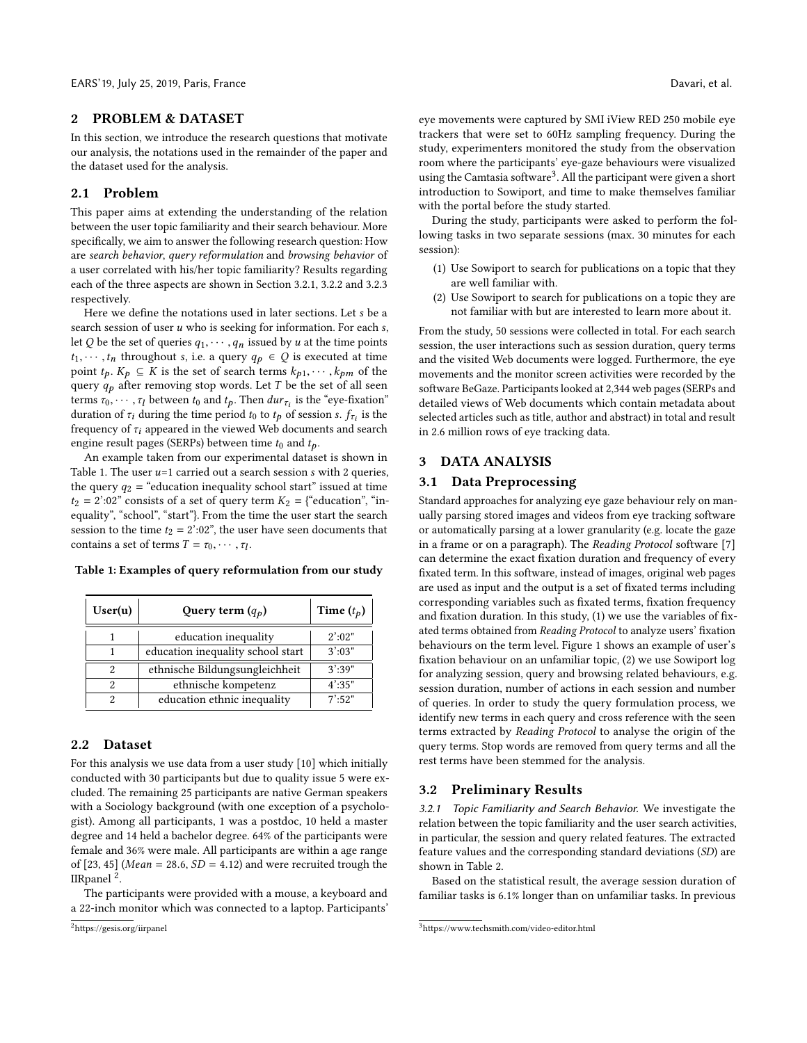#### 2 PROBLEM & DATASET

In this section, we introduce the research questions that motivate our analysis, the notations used in the remainder of the paper and the dataset used for the analysis.

## 2.1 Problem

This paper aims at extending the understanding of the relation between the user topic familiarity and their search behaviour. More specifically, we aim to answer the following research question: How are search behavior, query reformulation and browsing behavior of a user correlated with his/her topic familiarity? Results regarding each of the three aspects are shown in Section [3.2.1,](#page-1-0) [3.2.2](#page-2-0) and [3.2.3](#page-2-1) respectively.

Here we define the notations used in later sections. Let s be a search session of user  $u$  who is seeking for information. For each  $s$ , let Q be the set of queries  $q_1, \dots, q_n$  issued by u at the time points  $t_1, \dots, t_n$  throughout s, i.e. a query  $q_p \in Q$  is executed at time point  $t_p$ .  $K_p \subseteq K$  is the set of search terms  $k_{p1}, \dots, k_{pm}$  of the query  $q_p$  after removing stop words. Let T be the set of all seen terms  $\tau_0, \dots, \tau_l$  between  $t_0$  and  $t_p$ . Then  $dur_{\tau_i}$  is the "eye-fixation"<br>duration of  $\tau_i$  during the time period to to the of session sufficients duration of  $\tau_i$  during the time period  $t_0$  to  $t_p$  of session s.  $f_{\tau_i}$  is the frequency of  $\tau_i$  appeared in the viewed Web documents and search frequency of  $\tau_i$  appeared in the viewed Web documents and search engine result pages (SERPs) between time  $t_0$  and  $t_p$ .

An example taken from our experimental dataset is shown in Table [1.](#page-1-1) The user  $u=1$  carried out a search session  $s$  with 2 queries, the query  $q_2$  = "education inequality school start" issued at time  $t_2 = 2$ ':02" consists of a set of query term  $K_2 = \{$ "education", "inequality", "school", "start"}. From the time the user start the search session to the time  $t_2 = 2$ ':02", the user have seen documents that contains a set of terms  $T = \tau_0, \cdots, \tau_l$ .

<span id="page-1-1"></span>Table 1: Examples of query reformulation from our study

| User(u) | Query term $(q_p)$                | Time $(t_p)$     |
|---------|-----------------------------------|------------------|
|         | education inequality              | $2^{\prime}:02"$ |
|         | education inequality school start | 3':03"           |
| 2       | ethnische Bildungsungleichheit    | 3'39''           |
| 2       | ethnische kompetenz               | $4'$ :35"        |
|         | education ethnic inequality       | $7'$ -52"        |

## 2.2 Dataset

For this analysis we use data from a user study [\[10\]](#page-3-11) which initially conducted with 30 participants but due to quality issue 5 were excluded. The remaining 25 participants are native German speakers with a Sociology background (with one exception of a psychologist). Among all participants, 1 was a postdoc, 10 held a master degree and 14 held a bachelor degree. 64% of the participants were female and 36% were male. All participants are within a age range of [23, 45] (Mean = 28.6,  $SD = 4.12$ ) and were recruited trough the IIRpanel<sup>[2](#page-1-2)</sup>.

The participants were provided with a mouse, a keyboard and a 22-inch monitor which was connected to a laptop. Participants' eye movements were captured by SMI iView RED 250 mobile eye trackers that were set to 60Hz sampling frequency. During the study, experimenters monitored the study from the observation room where the participants' eye-gaze behaviours were visualized using the Camtasia software $^3$  $^3$ . All the participant were given a short introduction to Sowiport, and time to make themselves familiar with the portal before the study started.

During the study, participants were asked to perform the following tasks in two separate sessions (max. 30 minutes for each session):

- (1) Use Sowiport to search for publications on a topic that they are well familiar with.
- (2) Use Sowiport to search for publications on a topic they are not familiar with but are interested to learn more about it.

From the study, 50 sessions were collected in total. For each search session, the user interactions such as session duration, query terms and the visited Web documents were logged. Furthermore, the eye movements and the monitor screen activities were recorded by the software BeGaze. Participants looked at 2,344 web pages (SERPs and detailed views of Web documents which contain metadata about selected articles such as title, author and abstract) in total and result in 2.6 million rows of eye tracking data.

#### 3 DATA ANALYSIS

#### 3.1 Data Preprocessing

Standard approaches for analyzing eye gaze behaviour rely on manually parsing stored images and videos from eye tracking software or automatically parsing at a lower granularity (e.g. locate the gaze in a frame or on a paragraph). The Reading Protocol software [\[7\]](#page-3-9) can determine the exact fixation duration and frequency of every fixated term. In this software, instead of images, original web pages are used as input and the output is a set of fixated terms including corresponding variables such as fixated terms, fixation frequency and fixation duration. In this study, (1) we use the variables of fixated terms obtained from Reading Protocol to analyze users' fixation behaviours on the term level. Figure [1](#page-2-2) shows an example of user's fixation behaviour on an unfamiliar topic, (2) we use Sowiport log for analyzing session, query and browsing related behaviours, e.g. session duration, number of actions in each session and number of queries. In order to study the query formulation process, we identify new terms in each query and cross reference with the seen terms extracted by Reading Protocol to analyse the origin of the query terms. Stop words are removed from query terms and all the rest terms have been stemmed for the analysis.

## 3.2 Preliminary Results

<span id="page-1-0"></span>3.2.1 Topic Familiarity and Search Behavior. We investigate the relation between the topic familiarity and the user search activities, in particular, the session and query related features. The extracted feature values and the corresponding standard deviations (SD) are shown in Table [2.](#page-2-3)

Based on the statistical result, the average session duration of familiar tasks is 6.1% longer than on unfamiliar tasks. In previous

<span id="page-1-2"></span><sup>2</sup>https://gesis.org/iirpanel

<span id="page-1-3"></span><sup>3</sup>https://www.techsmith.com/video-editor.html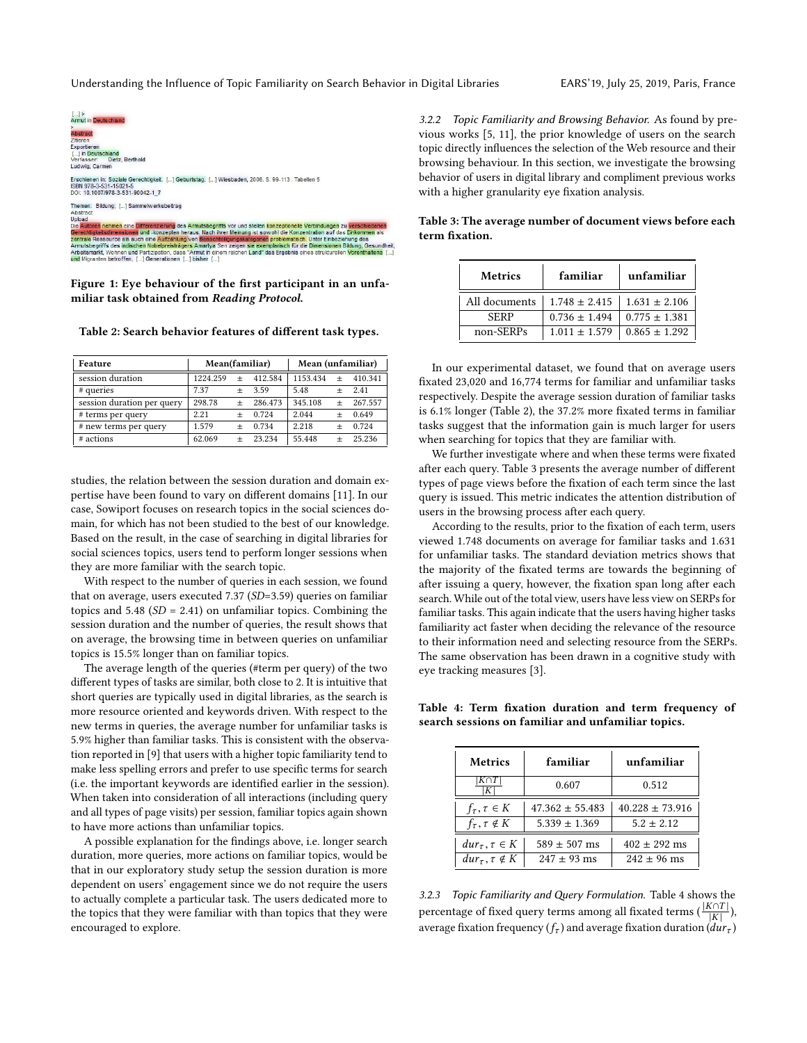Understanding the Influence of Topic Familiarity on Search Behavior in Digital Libraries EARS'19, July 25, 2019, Paris, France

<span id="page-2-2"></span>

Figure 1: Eye behaviour of the first participant in an unfamiliar task obtained from Reading Protocol.

<span id="page-2-3"></span>Table 2: Search behavior features of different task types.

| Feature                    | Mean(familiar) |        |         | Mean (unfamiliar) |        |         |
|----------------------------|----------------|--------|---------|-------------------|--------|---------|
| session duration           | 1224.259       |        | 412.584 | 1153.434          | $^{+}$ | 410.341 |
| # queries                  | 7.37           | $^{+}$ | 3.59    | 5.48              | $^{+}$ | 2.41    |
| session duration per query | 298.78         | $\pm$  | 286.473 | 345.108           | $^{+}$ | 267.557 |
| # terms per query          | 2.21           |        | 0.724   | 2.044             | $\div$ | 0.649   |
| # new terms per query      | 1.579          |        | 0.734   | 2.218             | $^{+}$ | 0.724   |
| # actions                  | 62.069         |        | 23 234  | 55.448            | $+$    | 25.236  |

studies, the relation between the session duration and domain expertise have been found to vary on different domains [\[11\]](#page-3-5). In our case, Sowiport focuses on research topics in the social sciences domain, for which has not been studied to the best of our knowledge. Based on the result, in the case of searching in digital libraries for social sciences topics, users tend to perform longer sessions when they are more familiar with the search topic.

With respect to the number of queries in each session, we found that on average, users executed 7.37 (SD=3.59) queries on familiar topics and  $5.48$  ( $SD = 2.41$ ) on unfamiliar topics. Combining the session duration and the number of queries, the result shows that on average, the browsing time in between queries on unfamiliar topics is 15.5% longer than on familiar topics.

The average length of the queries (#term per query) of the two different types of tasks are similar, both close to 2. It is intuitive that short queries are typically used in digital libraries, as the search is more resource oriented and keywords driven. With respect to the new terms in queries, the average number for unfamiliar tasks is 5.9% higher than familiar tasks. This is consistent with the observation reported in [\[9\]](#page-3-2) that users with a higher topic familiarity tend to make less spelling errors and prefer to use specific terms for search (i.e. the important keywords are identified earlier in the session). When taken into consideration of all interactions (including query and all types of page visits) per session, familiar topics again shown to have more actions than unfamiliar topics.

A possible explanation for the findings above, i.e. longer search duration, more queries, more actions on familiar topics, would be that in our exploratory study setup the session duration is more dependent on users' engagement since we do not require the users to actually complete a particular task. The users dedicated more to the topics that they were familiar with than topics that they were encouraged to explore.

<span id="page-2-0"></span>3.2.2 Topic Familiarity and Browsing Behavior. As found by previous works [\[5,](#page-3-6) [11\]](#page-3-5), the prior knowledge of users on the search topic directly influences the selection of the Web resource and their browsing behaviour. In this section, we investigate the browsing behavior of users in digital library and compliment previous works with a higher granularity eye fixation analysis.

<span id="page-2-4"></span>

| Table 3: The average number of document views before each |
|-----------------------------------------------------------|
| term fixation.                                            |
|                                                           |

| <b>Metrics</b> | familiar                              | unfamiliar        |  |  |
|----------------|---------------------------------------|-------------------|--|--|
| All documents  | $1.748 \pm 2.415$   $1.631 \pm 2.106$ |                   |  |  |
| <b>SERP</b>    | $0.736 \pm 1.494$                     | $0.775 \pm 1.381$ |  |  |
| non-SERPs      | $1.011 \pm 1.579$                     | $0.865 \pm 1.292$ |  |  |

In our experimental dataset, we found that on average users fixated 23,020 and 16,774 terms for familiar and unfamiliar tasks respectively. Despite the average session duration of familiar tasks is 6.1% longer (Table [2\)](#page-2-3), the 37.2% more fixated terms in familiar tasks suggest that the information gain is much larger for users when searching for topics that they are familiar with.

We further investigate where and when these terms were fixated after each query. Table [3](#page-2-4) presents the average number of different types of page views before the fixation of each term since the last query is issued. This metric indicates the attention distribution of users in the browsing process after each query.

According to the results, prior to the fixation of each term, users viewed 1.748 documents on average for familiar tasks and 1.631 for unfamiliar tasks. The standard deviation metrics shows that the majority of the fixated terms are towards the beginning of after issuing a query, however, the fixation span long after each search. While out of the total view, users have less view on SERPs for familiar tasks. This again indicate that the users having higher tasks familiarity act faster when deciding the relevance of the resource to their information need and selecting resource from the SERPs. The same observation has been drawn in a cognitive study with eye tracking measures [\[3\]](#page-3-12).

<span id="page-2-5"></span><span id="page-2-1"></span>Table 4: Term fixation duration and term frequency of search sessions on familiar and unfamiliar topics.

| <b>Metrics</b>               | familiar            | unfamiliar          |
|------------------------------|---------------------|---------------------|
| К                            | 0.607               | 0.512               |
| $f_{\tau}, \tau \in K$       | $47.362 \pm 55.483$ | $40.228 \pm 73.916$ |
| $f_{\tau}$ , $\tau \notin K$ | $5.339 \pm 1.369$   | $5.2 \pm 2.12$      |
| $dur_{\tau}, \tau \in K$     | $589 \pm 507$ ms    | $402 \pm 292$ ms    |
| $dur_{\tau}, \tau \notin K$  | $247 \pm 93$ ms     | $242 + 96$ ms       |
|                              |                     |                     |

3.2.3 Topic Familiarity and Query Formulation. Table [4](#page-2-5) shows the percentage of fixed query terms among all fixated terms ( $\frac{|K\cap T|}{|K|}$ ),  $\frac{|K|}{du}$ average fixation frequency  $(f_{\tau})$  and average fixation duration  $\left( dur_{\tau}\right)$